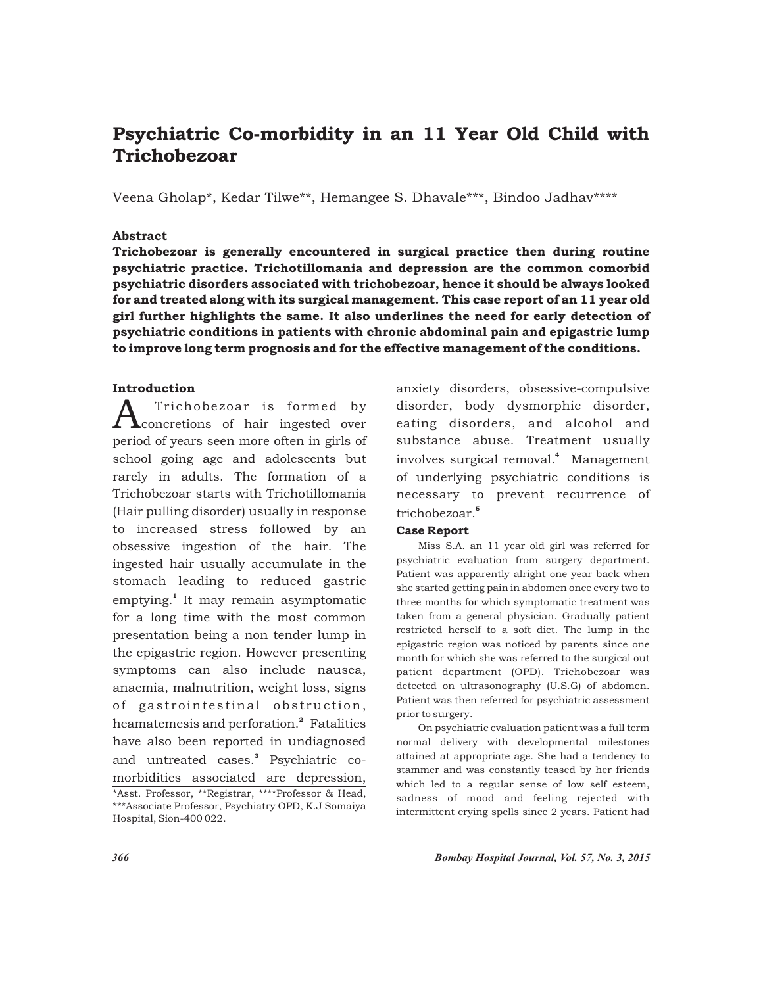# Psychiatric Co-morbidity in an 11 Year Old Child with Trichobezoar

Veena Gholap\*, Kedar Tilwe\*\*, Hemangee S. Dhavale\*\*\*, Bindoo Jadhav\*\*\*\*

#### Abstract

Trichobezoar is generally encountered in surgical practice then during routine psychiatric practice. Trichotillomania and depression are the common comorbid psychiatric disorders associated with trichobezoar, hence it should be always looked for and treated along with its surgical management. This case report of an 11 year old girl further highlights the same. It also underlines the need for early detection of psychiatric conditions in patients with chronic abdominal pain and epigastric lump to improve long term prognosis and for the effective management of the conditions.

# Introduction

 $A_{\rm concrections}$  of hair ingested over period of years seen more often in girls of school going age and adolescents but rarely in adults. The formation of a Trichobezoar starts with Trichotillomania (Hair pulling disorder) usually in response to increased stress followed by an obsessive ingestion of the hair. The ingested hair usually accumulate in the stomach leading to reduced gastric emptying.<sup>1</sup> It may remain asymptomatic for a long time with the most common presentation being a non tender lump in the epigastric region. However presenting symptoms can also include nausea, anaemia, malnutrition, weight loss, signs of gastrointestinal obstruction, heamatemesis and perforation.<sup>2</sup> Fatalities have also been reported in undiagnosed and untreated cases.<sup>3</sup> Psychiatric comorbidities associated are depression,

anxiety disorders, obsessive-compulsive disorder, body dysmorphic disorder, eating disorders, and alcohol and substance abuse. Treatment usually involves surgical removal.<sup>4</sup> Management of underlying psychiatric conditions is necessary to prevent recurrence of 5 trichobezoar.

# Case Report

Miss S.A. an 11 year old girl was referred for psychiatric evaluation from surgery department. Patient was apparently alright one year back when she started getting pain in abdomen once every two to three months for which symptomatic treatment was taken from a general physician. Gradually patient restricted herself to a soft diet. The lump in the epigastric region was noticed by parents since one month for which she was referred to the surgical out patient department (OPD). Trichobezoar was detected on ultrasonography (U.S.G) of abdomen. Patient was then referred for psychiatric assessment prior to surgery.

On psychiatric evaluation patient was a full term normal delivery with developmental milestones attained at appropriate age. She had a tendency to stammer and was constantly teased by her friends which led to a regular sense of low self esteem, sadness of mood and feeling rejected with intermittent crying spells since 2 years. Patient had

*366 Bombay Hospital Journal, Vol. 57, No. 3, 2015*

<sup>\*</sup>Asst. Professor, \*\*Registrar, \*\*\*\*Professor & Head, \*\*\*Associate Professor, Psychiatry OPD, K.J Somaiya Hospital, Sion-400 022.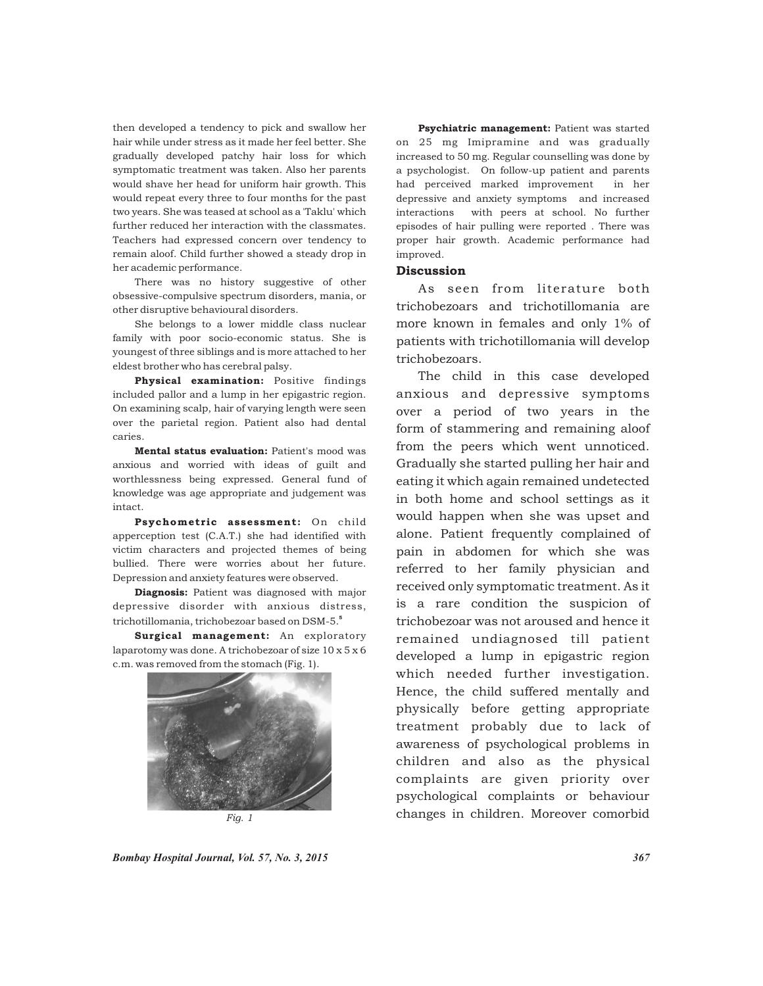then developed a tendency to pick and swallow her hair while under stress as it made her feel better. She gradually developed patchy hair loss for which symptomatic treatment was taken. Also her parents would shave her head for uniform hair growth. This would repeat every three to four months for the past two years. She was teased at school as a 'Taklu' which further reduced her interaction with the classmates. Teachers had expressed concern over tendency to remain aloof. Child further showed a steady drop in her academic performance.

There was no history suggestive of other obsessive-compulsive spectrum disorders, mania, or other disruptive behavioural disorders.

She belongs to a lower middle class nuclear family with poor socio-economic status. She is youngest of three siblings and is more attached to her eldest brother who has cerebral palsy.

Physical examination: Positive findings included pallor and a lump in her epigastric region. On examining scalp, hair of varying length were seen over the parietal region. Patient also had dental caries.

Mental status evaluation: Patient's mood was anxious and worried with ideas of guilt and worthlessness being expressed. General fund of knowledge was age appropriate and judgement was intact.

Psychometric assessment: On child apperception test (C.A.T.) she had identified with victim characters and projected themes of being bullied. There were worries about her future. Depression and anxiety features were observed.

Diagnosis: Patient was diagnosed with major depressive disorder with anxious distress, 5 trichotillomania, trichobezoar based on DSM-5.

Surgical management: An exploratory laparotomy was done. A trichobezoar of size 10 x 5 x 6 c.m. was removed from the stomach (Fig. 1).



Psychiatric management: Patient was started on 25 mg Imipramine and was gradually increased to 50 mg. Regular counselling was done by a psychologist. On follow-up patient and parents had perceived marked improvement in her depressive and anxiety symptoms and increased interactions with peers at school. No further episodes of hair pulling were reported . There was proper hair growth. Academic performance had improved.

## **Discussion**

As seen from literature both trichobezoars and trichotillomania are more known in females and only 1% of patients with trichotillomania will develop trichobezoars.

The child in this case developed anxious and depressive symptoms over a period of two years in the form of stammering and remaining aloof from the peers which went unnoticed. Gradually she started pulling her hair and eating it which again remained undetected in both home and school settings as it would happen when she was upset and alone. Patient frequently complained of pain in abdomen for which she was referred to her family physician and received only symptomatic treatment. As it is a rare condition the suspicion of trichobezoar was not aroused and hence it remained undiagnosed till patient developed a lump in epigastric region which needed further investigation. Hence, the child suffered mentally and physically before getting appropriate treatment probably due to lack of awareness of psychological problems in children and also as the physical complaints are given priority over psychological complaints or behaviour changes in children. Moreover comorbid

*Bombay Hospital Journal, Vol. 57, No. 3, 2015 367*